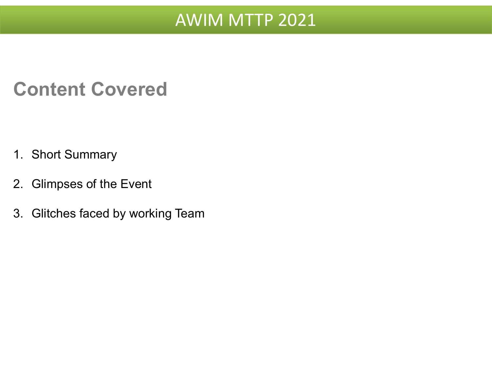## AWIM MTTP 2021

# Content Covered AWIM N<br>
Content Covered<br>
1. Short Summary<br>
2. Glimpses of the Event 2. Glimpses of the Event<br>2. Glimpses of the Event<br>2. Glimpses of the Event<br>3. Glitches faced by working Team **Content Covered**<br>1. Short Summary<br>2. Glimpses of the Event<br>3. Glitches faced by working Team

- 
- 
-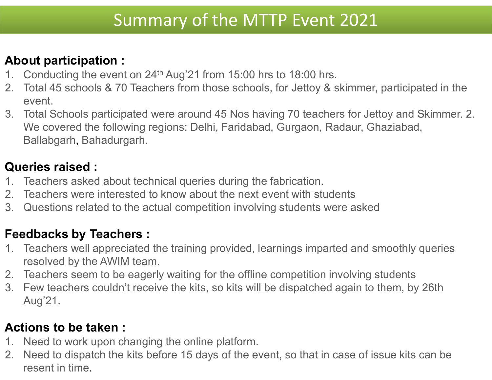## Summary of the MTTP Event 2021

#### About participation :

- 
- Summary of the MTTP Event 2021<br>
1. Conducting the event on 24<sup>th</sup> Aug'21 from 15:00 hrs to 18:00 hrs.<br>
2. Total 45 schools & 70 Teachers from those schools, for Jettoy & skimmer, particular<br>
3. Total Schools participated w 2. **2. Summary of the MTTP Event 2021**<br>2. Total **participation** :<br>2. Total 45 schools & 70 Teachers from those schools, for Jettoy & skimmer, participated in the<br>2. Total 45 schools & 70 Teachers from those schools, for Je event.
- 3. Summary of the MTTP Event 2021<br>3. Conducting the event on 24<sup>th</sup> Aug'21 from 15:00 hrs to 18:00 hrs.<br>3. Total 45 schools & 70 Teachers from those schools, for Jettoy & skimmer, participated in the<br>3. Total Schools parti We covered the following regions: Delhi, Faridabad, Gurgaon, Radaur, Ghaziabad, Ballabgarh, Bahadurgarh. **SUTTITIELY OF LTE IVITTE EVEIT ZOZ 1**<br> **About participation :**<br>
1. Conducting the event on 24<sup>th</sup> Aug<sup>1</sup>21 from 15:00 hrs to 18:00 hrs.<br>
2. Total 45 schools & 70 Teachers from those schools, for Jettoy & skimmer,<br>
event.<br> **About participation :**<br>
1. Conducting the event on  $24^{\text{th}}$  Aug'21 from 15:00 hrs to 18:00 hrs.<br>
2. Total 45 schools & 70 Teachers from those schools, for Jettoy & skimmer, participated in<br>
event.<br>
3. Total Schools par **About participation :**<br>
1. Conducting the event on 24<sup>th</sup> Aug'21 from 15:00 hrs to 18:00 hrs.<br>
2. Total 45 schools & 70 Teachers from those schools, for Jettoy & skimmer, participated in the<br>
event.<br>
3. Total Schools part 2. Teachers well appreciated were around 45 Nos having 70 teachers for Jettoy and Skimmer. 2.<br>
We covered the following regions: Delhi, Faridabad, Gurgaon, Radaur, Ghaziabad,<br>
Ballabgarh, Bahadurgarh.<br> **Queries raised:**<br>
1 2. Teachers seem to be eagerly waiting for the offline competition. The covered the following regions: Delhi, Faridabad, Gurgaon, Radaur, Ghaziabad, Ballabgarh, Bahadurgarh.<br>
2. Teachers asked about technical queries durin

#### Queries raised :

- 
- 
- 

#### Feedbacks by Teachers :

- resolved by the AWIM team. We covered the following regions. Definit, Fandabad, Gurgaon, Radadit, Gritazlabad,<br>
Ballabgarh, Bahadurgarh.<br>
1. Teachers asked about technical queries during the fabrication.<br>
2. Teachers were interested to know about th 1. Teachers asked about technical queries during the fabricant<br>2. Teachers were interested to know about the next event with<br>3. Questions related to the actual competition involving studen<br>**Feedbacks by Teachers** :<br>1. Teac 2. Teachers were interested to know about the hext event with students<br>
3. Questions related to the actual competition involving students were asked<br> **Feedbacks by Teachers :**<br>
1. Teachers well appreciated the training pro
- 
- Aug'21.

#### Actions to be taken :

- 
- resent in time.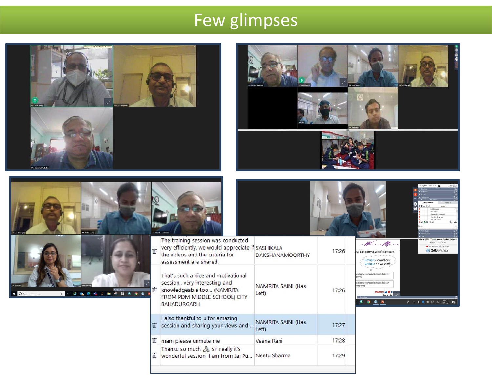## Few glimpses



|   | <b>BAHADURGARH</b>                                                     |                             |       |
|---|------------------------------------------------------------------------|-----------------------------|-------|
| Ù | I also thankful to u for amazing<br>session and sharing your views and | NAMRITA SAINI (Has<br>Left) | 17:27 |
| Û | mam please unmute me                                                   | Veena Rani                  | 17:28 |
| Ù | Thanku so much & sir really it's<br>wonderful session I am from Jai Pu | Neetu Sharma                | 17:29 |

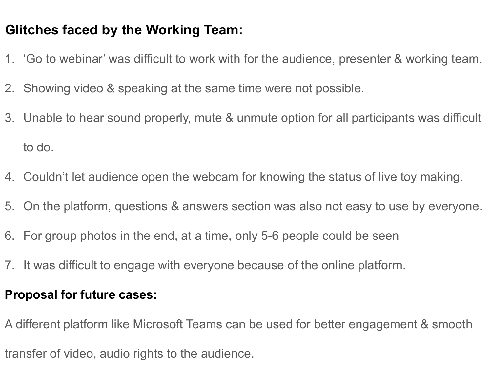### Glitches faced by the Working Team:

- **Glitches faced by the Working Team:**<br>1. 'Go to webinar' was difficult to work with for the audience, presenter & working team.<br>2. Showing video & speaking at the same time were not possible.
- 
- **Glitches faced by the Working Team:**<br>1. 'Go to webinar' was difficult to work with for the audience, presenter & work<br>2. Showing video & speaking at the same time were not possible.<br>3. Unable to hear sound properly, mute **Glitches faced by the Working Team:**<br>3. Go to webinar' was difficult to work with for the audience, presenter & working team.<br>2. Showing video & speaking at the same time were not possible.<br>3. Unable to hear sound properl to do. **Glitches faced by the Working Team:**<br>1. 'Go to webinar' was difficult to work with for the audience, presenter & working team.<br>2. Showing video & speaking at the same time were not possible.<br>3. Unable to hear sound proper 1. 'Go to webinar' was difficult to work with for the audience, presenter & working team.<br>2. Showing video & speaking at the same time were not possible.<br>3. Unable to hear sound properly, mute & unmute option for all parti 1. Showing video & speaking at the same time were not possible.<br>
1. Unable to hear sound properly, mute & unmute option for all participants was difficult<br>
1. Couldn't let audience open the webcam for knowing the status of 7. Unable to hear sound properly, mute & unmute option for all participants was different to do.<br>
4. Couldn't let audience open the webcam for knowing the status of live toy making<br>
5. On the platform, questions & answers
- 
- 
- 
- 

#### Proposal for future cases:

- A different platform like Microsoft Teams can be used for better engagement & smooth
- transfer of video, audio rights to the audience.